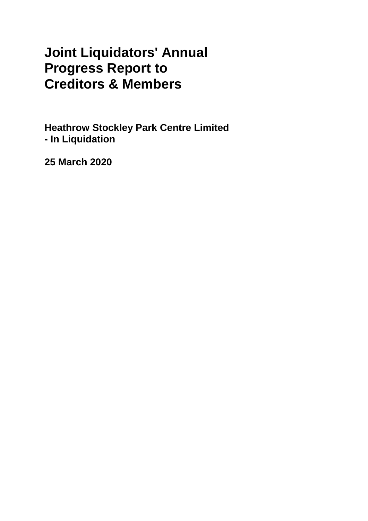# **Joint Liquidators' Annual Progress Report to Creditors & Members**

**Heathrow Stockley Park Centre Limited - In Liquidation**

**25 March 2020**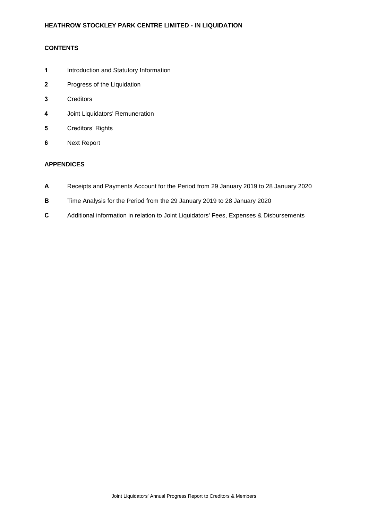# **CONTENTS**

- **1** Introduction and Statutory Information
- **2** Progress of the Liquidation
- **3** Creditors
- **4** Joint Liquidators' Remuneration
- **5** Creditors' Rights
- **6** Next Report

# **APPENDICES**

- **A** Receipts and Payments Account for the Period from 29 January 2019 to 28 January 2020
- **B** Time Analysis for the Period from the 29 January 2019 to 28 January 2020
- **C** Additional information in relation to Joint Liquidators' Fees, Expenses & Disbursements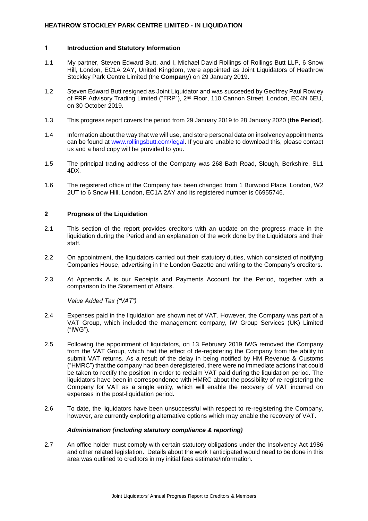## **HEATHROW STOCKLEY PARK CENTRE LIMITED - IN LIQUIDATION**

#### **1 Introduction and Statutory Information**

- 1.1 My partner, Steven Edward Butt, and I, Michael David Rollings of Rollings Butt LLP, 6 Snow Hill, London, EC1A 2AY, United Kingdom, were appointed as Joint Liquidators of Heathrow Stockley Park Centre Limited (the **Company**) on 29 January 2019.
- 1.2 Steven Edward Butt resigned as Joint Liquidator and was succeeded by Geoffrey Paul Rowley of FRP Advisory Trading Limited ("FRP"), 2<sup>nd</sup> Floor, 110 Cannon Street, London, EC4N 6EU, on 30 October 2019.
- 1.3 This progress report covers the period from 29 January 2019 to 28 January 2020 (**the Period**).
- 1.4 Information about the way that we will use, and store personal data on insolvency appointments can be found at [www.rollingsbutt.com/legal.](http://www.rollingsbutt.com/legal) If you are unable to download this, please contact us and a hard copy will be provided to you.
- 1.5 The principal trading address of the Company was 268 Bath Road, Slough, Berkshire, SL1 4DX.
- 1.6 The registered office of the Company has been changed from 1 Burwood Place, London, W2 2UT to 6 Snow Hill, London, EC1A 2AY and its registered number is 06955746.

## **2 Progress of the Liquidation**

- 2.1 This section of the report provides creditors with an update on the progress made in the liquidation during the Period and an explanation of the work done by the Liquidators and their staff.
- 2.2 On appointment, the liquidators carried out their statutory duties, which consisted of notifying Companies House, advertising in the London Gazette and writing to the Company's creditors.
- 2.3 At Appendix A is our Receipts and Payments Account for the Period, together with a comparison to the Statement of Affairs.

*Value Added Tax ("VAT")*

- 2.4 Expenses paid in the liquidation are shown net of VAT. However, the Company was part of a VAT Group, which included the management company, IW Group Services (UK) Limited ("IWG").
- 2.5 Following the appointment of liquidators, on 13 February 2019 IWG removed the Company from the VAT Group, which had the effect of de-registering the Company from the ability to submit VAT returns. As a result of the delay in being notified by HM Revenue & Customs ("HMRC") that the company had been deregistered, there were no immediate actions that could be taken to rectify the position in order to reclaim VAT paid during the liquidation period. The liquidators have been in correspondence with HMRC about the possibility of re-registering the Company for VAT as a single entity, which will enable the recovery of VAT incurred on expenses in the post-liquidation period.
- 2.6 To date, the liquidators have been unsuccessful with respect to re-registering the Company, however, are currently exploring alternative options which may enable the recovery of VAT.

#### *Administration (including statutory compliance & reporting)*

2.7 An office holder must comply with certain statutory obligations under the Insolvency Act 1986 and other related legislation. Details about the work I anticipated would need to be done in this area was outlined to creditors in my initial fees estimate/information.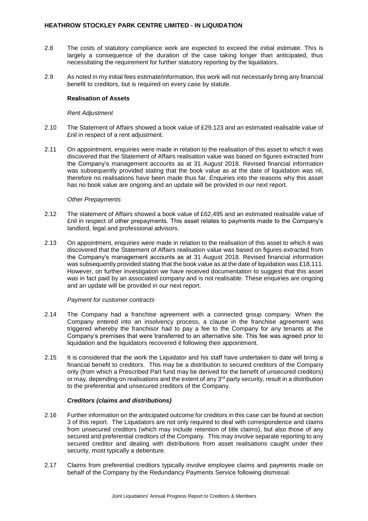- 2.8 The costs of statutory compliance work are expected to exceed the initial estimate. This is largely a consequence of the duration of the case taking longer than anticipated, thus necessitating the requirement for further statutory reporting by the liquidators.
- 2.9 As noted in my initial fees estimate/information, this work will not necessarily bring any financial benefit to creditors, but is required on every case by statute.

#### **Realisation of Assets**

#### *Rent Adjustment*

- 2.10 The Statement of Affairs showed a book value of £29,123 and an estimated realisable value of £nil in respect of a rent adjustment.
- 2.11 On appointment, enquiries were made in relation to the realisation of this asset to which it was discovered that the Statement of Affairs realisation value was based on figures extracted from the Company's management accounts as at 31 August 2018. Revised financial information was subsequently provided stating that the book value as at the date of liquidation was nil, therefore no realisations have been made thus far. Enquiries into the reasons why this asset has no book value are ongoing and an update will be provided in our next report.

#### *Other Prepayments*

- 2.12 The statement of Affairs showed a book value of £62,495 and an estimated realisable value of £nil in respect of other prepayments. This asset relates to payments made to the Company's landlord, legal and professional advisors.
- 2.13 On appointment, enquiries were made in relation to the realisation of this asset to which it was discovered that the Statement of Affairs realisation value was based on figures extracted from the Company's management accounts as at 31 August 2018. Revised financial information was subsequently provided stating that the book value as at the date of liquidation was £18,111. However, on further investigation we have received documentation to suggest that this asset was in fact paid by an associated company and is not realisable. These enquiries are ongoing and an update will be provided in our next report.

#### *Payment for customer contracts*

- 2.14 The Company had a franchise agreement with a connected group company. When the Company entered into an insolvency process, a clause in the franchise agreement was triggered whereby the franchisor had to pay a fee to the Company for any tenants at the Company's premises that were transferred to an alternative site. This fee was agreed prior to liquidation and the liquidators recovered it following their appointment.
- 2.15 It is considered that the work the Liquidator and his staff have undertaken to date will bring a financial benefit to creditors.This may be a distribution to secured creditors of the Company only (from which a Prescribed Part fund may be derived for the benefit of unsecured creditors) or may, depending on realisations and the extent of any 3<sup>rd</sup> party security, result in a distribution to the preferential and unsecured creditors of the Company.

#### *Creditors (claims and distributions)*

- 2.16 Further information on the anticipated outcome for creditors in this case can be found at section 3 of this report. The Liquidators are not only required to deal with correspondence and claims from unsecured creditors (which may include retention of title claims), but also those of any secured and preferential creditors of the Company. This may involve separate reporting to any secured creditor and dealing with distributions from asset realisations caught under their security, most typically a debenture.
- 2.17 Claims from preferential creditors typically involve employee claims and payments made on behalf of the Company by the Redundancy Payments Service following dismissal.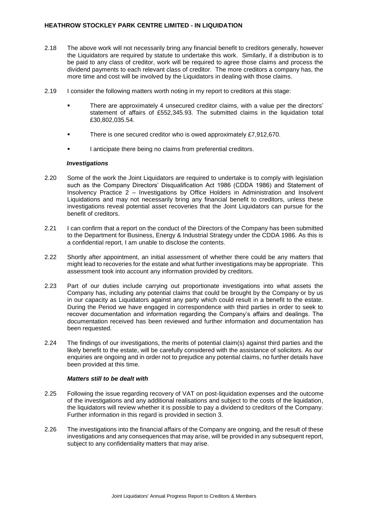## **HEATHROW STOCKLEY PARK CENTRE LIMITED - IN LIQUIDATION**

- 2.18 The above work will not necessarily bring any financial benefit to creditors generally, however the Liquidators are required by statute to undertake this work. Similarly, if a distribution is to be paid to any class of creditor, work will be required to agree those claims and process the dividend payments to each relevant class of creditor. The more creditors a company has, the more time and cost will be involved by the Liquidators in dealing with those claims.
- 2.19 I consider the following matters worth noting in my report to creditors at this stage:
	- There are approximately 4 unsecured creditor claims, with a value per the directors' statement of affairs of £552,345.93. The submitted claims in the liquidation total £30,802,035.54.
	- There is one secured creditor who is owed approximately £7,912,670.
	- I anticipate there being no claims from preferential creditors.

## *Investigations*

- 2.20 Some of the work the Joint Liquidators are required to undertake is to comply with legislation such as the Company Directors' Disqualification Act 1986 (CDDA 1986) and Statement of Insolvency Practice 2 – Investigations by Office Holders in Administration and Insolvent Liquidations and may not necessarily bring any financial benefit to creditors, unless these investigations reveal potential asset recoveries that the Joint Liquidators can pursue for the benefit of creditors.
- 2.21 I can confirm that a report on the conduct of the Directors of the Company has been submitted to the Department for Business, Energy & Industrial Strategy under the CDDA 1986. As this is a confidential report, I am unable to disclose the contents.
- 2.22 Shortly after appointment, an initial assessment of whether there could be any matters that might lead to recoveries for the estate and what further investigations may be appropriate. This assessment took into account any information provided by creditors.
- 2.23 Part of our duties include carrying out proportionate investigations into what assets the Company has, including any potential claims that could be brought by the Company or by us in our capacity as Liquidators against any party which could result in a benefit to the estate. During the Period we have engaged in correspondence with third parties in order to seek to recover documentation and information regarding the Company's affairs and dealings. The documentation received has been reviewed and further information and documentation has been requested.
- 2.24 The findings of our investigations, the merits of potential claim(s) against third parties and the likely benefit to the estate, will be carefully considered with the assistance of solicitors. As our enquiries are ongoing and in order not to prejudice any potential claims, no further details have been provided at this time.

#### *Matters still to be dealt with*

- 2.25 Following the issue regarding recovery of VAT on post-liquidation expenses and the outcome of the investigations and any additional realisations and subject to the costs of the liquidation, the liquidators will review whether it is possible to pay a dividend to creditors of the Company. Further information in this regard is provided in section 3.
- 2.26 The investigations into the financial affairs of the Company are ongoing, and the result of these investigations and any consequences that may arise, will be provided in any subsequent report, subject to any confidentiality matters that may arise.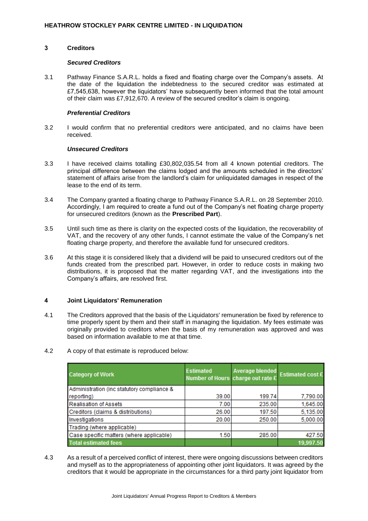#### **3 Creditors**

#### *Secured Creditors*

3.1 Pathway Finance S.A.R.L. holds a fixed and floating charge over the Company's assets. At the date of the liquidation the indebtedness to the secured creditor was estimated at £7,545,638, however the liquidators' have subsequently been informed that the total amount of their claim was £7,912,670. A review of the secured creditor's claim is ongoing.

#### *Preferential Creditors*

3.2 I would confirm that no preferential creditors were anticipated, and no claims have been received.

#### *Unsecured Creditors*

- 3.3 I have received claims totalling £30,802,035.54 from all 4 known potential creditors. The principal difference between the claims lodged and the amounts scheduled in the directors' statement of affairs arise from the landlord's claim for unliquidated damages in respect of the lease to the end of its term.
- 3.4 The Company granted a floating charge to Pathway Finance S.A.R.L. on 28 September 2010. Accordingly, I am required to create a fund out of the Company's net floating charge property for unsecured creditors (known as the **Prescribed Part**).
- 3.5 Until such time as there is clarity on the expected costs of the liquidation, the recoverability of VAT, and the recovery of any other funds, I cannot estimate the value of the Company's net floating charge property, and therefore the available fund for unsecured creditors.
- 3.6 At this stage it is considered likely that a dividend will be paid to unsecured creditors out of the funds created from the prescribed part. However, in order to reduce costs in making two distributions, it is proposed that the matter regarding VAT, and the investigations into the Company's affairs, are resolved first.

## **4 Joint Liquidators' Remuneration**

- 4.1 The Creditors approved that the basis of the Liquidators' remuneration be fixed by reference to time properly spent by them and their staff in managing the liquidation. My fees estimate was originally provided to creditors when the basis of my remuneration was approved and was based on information available to me at that time.
- 4.2 A copy of that estimate is reproduced below:

| <b>Category of Work</b>                    | <b>Estimated</b><br>Number of Hours charge out rate £ | Average blended<br>Estimated cost £ |           |
|--------------------------------------------|-------------------------------------------------------|-------------------------------------|-----------|
| Administration (inc statutory compliance & |                                                       |                                     |           |
| reporting)                                 | 39.00                                                 | 199.74                              | 7,790.00  |
| <b>Realisation of Assets</b>               | 7.00                                                  | 235.00                              | 1,645.00  |
| Creditors (claims & distributions)         | 26.00                                                 | 197.50                              | 5,135.00  |
| Investigations                             | 20.00                                                 | 250.00                              | 5,000.00  |
| Trading (where applicable)                 |                                                       |                                     |           |
| Case specific matters (where applicable)   | 1.50                                                  | 285.00                              | 427.50    |
| <b>Total estimated fees</b>                |                                                       |                                     | 19,997.50 |

4.3 As a result of a perceived conflict of interest, there were ongoing discussions between creditors and myself as to the appropriateness of appointing other joint liquidators. It was agreed by the creditors that it would be appropriate in the circumstances for a third party joint liquidator from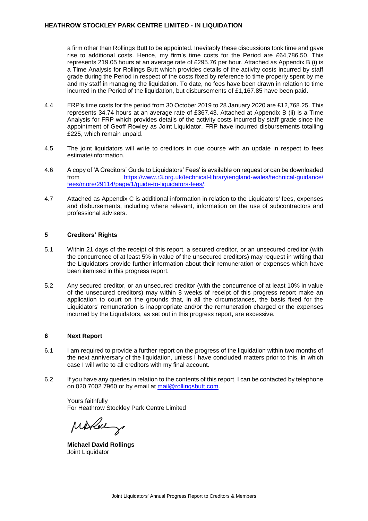#### **HEATHROW STOCKLEY PARK CENTRE LIMITED - IN LIQUIDATION**

a firm other than Rollings Butt to be appointed. Inevitably these discussions took time and gave rise to additional costs. Hence, my firm's time costs for the Period are £64,786.50. This represents 219.05 hours at an average rate of £295.76 per hour. Attached as Appendix B (i) is a Time Analysis for Rollings Butt which provides details of the activity costs incurred by staff grade during the Period in respect of the costs fixed by reference to time properly spent by me and my staff in managing the liquidation. To date, no fees have been drawn in relation to time incurred in the Period of the liquidation, but disbursements of £1,167.85 have been paid.

- 4.4 FRP's time costs for the period from 30 October 2019 to 28 January 2020 are £12,768.25. This represents 34.74 hours at an average rate of £367.43. Attached at Appendix B (ii) is a Time Analysis for FRP which provides details of the activity costs incurred by staff grade since the appointment of Geoff Rowley as Joint Liquidator. FRP have incurred disbursements totalling £225, which remain unpaid.
- 4.5 The joint liquidators will write to creditors in due course with an update in respect to fees estimate/information.
- 4.6 A copy of 'A Creditors' Guide to Liquidators' Fees' is available on request or can be downloaded from [https://www.r3.org.uk/technical-library/england-wales/technical-guidance/](https://www.r3.org.uk/technical-library/england-wales/technical-guidance/fees/more/29114/page/1/guide-to-liquidators-fees/) [fees/more/29114/page/1/guide-to-liquidators-fees/.](https://www.r3.org.uk/technical-library/england-wales/technical-guidance/fees/more/29114/page/1/guide-to-liquidators-fees/)
- 4.7 Attached as Appendix C is additional information in relation to the Liquidators' fees, expenses and disbursements, including where relevant, information on the use of subcontractors and professional advisers.

## **5 Creditors' Rights**

- 5.1 Within 21 days of the receipt of this report, a secured creditor, or an unsecured creditor (with the concurrence of at least 5% in value of the unsecured creditors) may request in writing that the Liquidators provide further information about their remuneration or expenses which have been itemised in this progress report.
- 5.2 Any secured creditor, or an unsecured creditor (with the concurrence of at least 10% in value of the unsecured creditors) may within 8 weeks of receipt of this progress report make an application to court on the grounds that, in all the circumstances, the basis fixed for the Liquidators' remuneration is inappropriate and/or the remuneration charged or the expenses incurred by the Liquidators, as set out in this progress report, are excessive.

## **6 Next Report**

- 6.1 I am required to provide a further report on the progress of the liquidation within two months of the next anniversary of the liquidation, unless I have concluded matters prior to this, in which case I will write to all creditors with my final account.
- 6.2 If you have any queries in relation to the contents of this report, I can be contacted by telephone on 020 7002 7960 or by email at [mail@rollingsbutt.com.](mailto:mail@rollingsbutt.com)

Yours faithfully For Heathrow Stockley Park Centre Limited

Mithal g

**Michael David Rollings** Joint Liquidator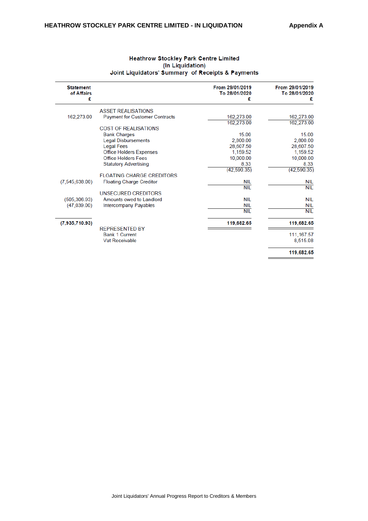| <b>Statement</b><br>of Affairs<br>£ |                                       | From 29/01/2019<br>To 28/01/2020<br>£ | From 29/01/2019<br>To 28/01/2020<br>£ |
|-------------------------------------|---------------------------------------|---------------------------------------|---------------------------------------|
|                                     |                                       |                                       |                                       |
|                                     | <b>ASSET REALISATIONS</b>             |                                       |                                       |
| 162,273.00                          | <b>Payment for Customer Contracts</b> | 162,273.00                            | 162,273.00                            |
|                                     |                                       | 162,273.00                            | 162,273.00                            |
|                                     | <b>COST OF REALISATIONS</b>           |                                       |                                       |
|                                     | <b>Bank Charges</b>                   | 15.00                                 | 15.00                                 |
|                                     | <b>Legal Disbursements</b>            | 2,800.00                              | 2,800.00                              |
|                                     | <b>Legal Fees</b>                     | 28,607.50                             | 28,607.50                             |
|                                     | <b>Office Holders Expenses</b>        | 1,159.52                              | 1,159.52                              |
|                                     | <b>Office Holders Fees</b>            | 10,000.00                             | 10,000.00                             |
|                                     | <b>Statutory Advertising</b>          | 8.33                                  | 8.33                                  |
|                                     |                                       | (42, 590.35)                          | (42, 590.35)                          |
|                                     | <b>FLOATING CHARGE CREDITORS</b>      |                                       |                                       |
| (7,545,638.00)                      | <b>Floating Charge Creditor</b>       | <b>NIL</b>                            | NIL                                   |
|                                     |                                       | <b>NIL</b>                            | <b>NIL</b>                            |
|                                     | UNSECURED CREDITORS                   |                                       |                                       |
| (505, 306.93)                       | Amounts owed to Landlord              | <b>NIL</b>                            | <b>NIL</b>                            |
| (47.039.00)                         | Intercompany Payables                 | <b>NIL</b>                            | <b>NIL</b>                            |
|                                     |                                       | <b>NIL</b>                            | <b>NIL</b>                            |
|                                     |                                       |                                       |                                       |
| (7,935,710.93)                      |                                       | 119,682.65                            | 119,682.65                            |
|                                     | <b>REPRESENTED BY</b>                 |                                       |                                       |
|                                     | <b>Bank 1 Current</b>                 |                                       | 111, 167.57                           |
|                                     | Vat Receivable                        |                                       | 8,515.08                              |
|                                     |                                       |                                       | 119,682.65                            |
|                                     |                                       |                                       |                                       |

## **Heathrow Stockley Park Centre Limited** (In Liquidation) Joint Liquidators' Summary of Receipts & Payments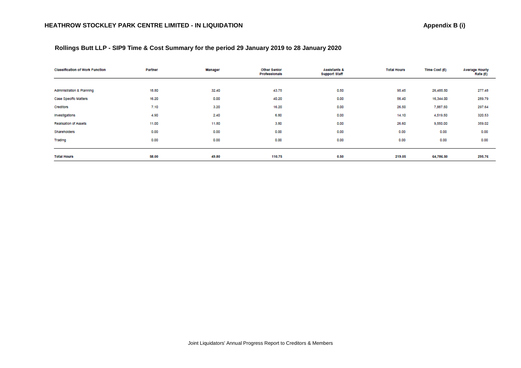| Rollings Butt LLP - SIP9 Time & Cost Summary for the period 29 January 2019 to 28 January 2020 |
|------------------------------------------------------------------------------------------------|
|------------------------------------------------------------------------------------------------|

| <b>Classification of Work Function</b> | Partner | Manager | Other Senior<br><b>Professionals</b> | Assistants &<br><b>Support Staff</b> | <b>Total Hours</b> | Time Cost (£) | <b>Average Hourly</b><br>Rate (£) |
|----------------------------------------|---------|---------|--------------------------------------|--------------------------------------|--------------------|---------------|-----------------------------------|
|                                        |         |         |                                      |                                      |                    |               |                                   |
| Administration & Planning              | 18.80   | 32.40   | 43.75                                | 0.50                                 | 95.45              | 26,485.50     | 277.48                            |
| Case Specific Matters                  | 16.20   | 0.00    | 40.20                                | 0.00                                 | 56.40              | 16,344.00     | 289.79                            |
| Creditors                              | 7.10    | 3.20    | 16.20                                | 0.00                                 | 26.50              | 7,887.50      | 297.64                            |
| Investigations                         | 4.90    | 2.40    | 6.80                                 | 0.00                                 | 14.10              | 4,519.50      | 320.53                            |
| Realisation of Assets                  | 11.00   | 11.80   | 3.80                                 | 0.00                                 | 26.60              | 9,550.00      | 359.02                            |
| Shareholders                           | 0.00    | 0.00    | 0.00                                 | 0.00                                 | 0.00               | 0.00          | 0.00                              |
| Trading                                | 0.00    | 0.00    | 0.00                                 | 0.00                                 | 0.00               | 0.00          | 0.00                              |
|                                        |         |         |                                      |                                      |                    |               |                                   |
| <b>Total Hours</b>                     | 58.00   | 49.80   | 110.75                               | 0.50                                 | 219.05             | 64,786.50     | 295.76                            |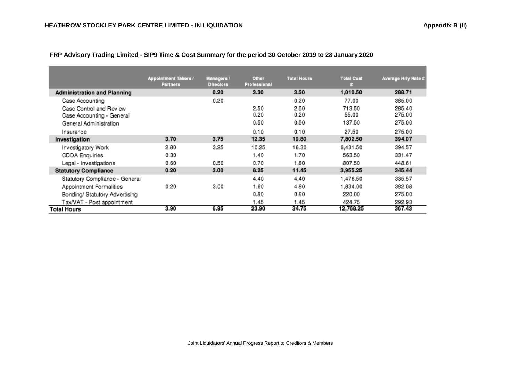|                                                      | <b>Appointment Takers /</b><br><b>Partners</b> | Managers /<br><b>Directors</b> | Other<br><b>Professional</b> | <b>Total Hours</b> | <b>Total Cost</b> | <b>Average Hriy Rate £</b> |
|------------------------------------------------------|------------------------------------------------|--------------------------------|------------------------------|--------------------|-------------------|----------------------------|
| <b>Administration and Planning</b>                   |                                                | 0.20                           | 3.30                         | 3.50               | 1,010.50          | 288.71                     |
| Case Accounting                                      |                                                | 0.20                           |                              | 0.20               | 77.00             | 385.00                     |
| Case Control and Review<br>Case Accounting - General |                                                |                                | 2.50<br>0.20                 | 2.50<br>0.20       | 713.50<br>55.00   | 285.40<br>275.00           |
| General Administration                               |                                                |                                | 0.50                         | 0.50               | 137.50            | 275.00                     |
| Insurance                                            |                                                |                                | 0.10                         | 0.10               | 27.50             | 275.00                     |
| Investigation                                        | 3.70                                           | 3.75                           | 12.35                        | 19.80              | 7,802.50          | 394.07                     |
| Investigatory Work                                   | 2.80                                           | 3.25                           | 10.25                        | 16.30              | 6.431.50          | 394.57                     |
| <b>CDDA Enquiries</b>                                | 0.30                                           |                                | 1.40                         | 1.70               | 563.50            | 331.47                     |
| Legal - Investigations                               | 0.60                                           | 0.50                           | 0.70                         | 1.80               | 807.50            | 448.61                     |
| <b>Statutory Compliance</b>                          | 0.20                                           | 3.00                           | 8.25                         | 11.45              | 3,955.25          | 345.44                     |
| Statutory Compliance - General                       |                                                |                                | 4.40                         | 4.40               | 1,476.50          | 335.57                     |
| Appointment Formalities                              | 0.20                                           | 3.00                           | 1.60                         | 4.80               | 1,834.00          | 382.08                     |
| Bonding/ Statutory Advertising                       |                                                |                                | 0.80                         | 0.80               | 220.00            | 275.00                     |
| Tax/VAT - Post appointment                           |                                                |                                | 1.45                         | 1.45               | 424.75            | 292.93                     |
| <b>Total Hours</b>                                   | 3.90                                           | 6.95                           | 23.90                        | 34.75              | 12,768.25         | 367.43                     |

 **FRP Advisory Trading Limited - SIP9 Time & Cost Summary for the period 30 October 2019 to 28 January 2020**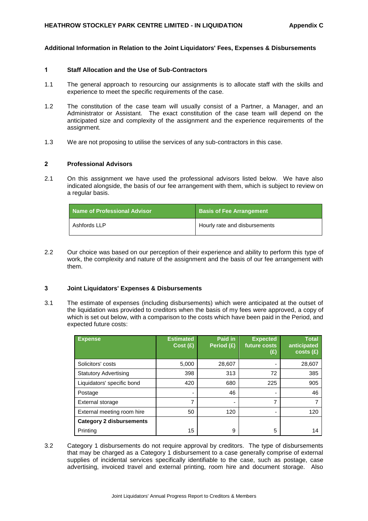#### **Additional Information in Relation to the Joint Liquidators' Fees, Expenses & Disbursements**

#### **1 Staff Allocation and the Use of Sub-Contractors**

- 1.1 The general approach to resourcing our assignments is to allocate staff with the skills and experience to meet the specific requirements of the case.
- 1.2 The constitution of the case team will usually consist of a Partner, a Manager, and an Administrator or Assistant. The exact constitution of the case team will depend on the anticipated size and complexity of the assignment and the experience requirements of the assignment.
- 1.3 We are not proposing to utilise the services of any sub-contractors in this case.

#### **2 Professional Advisors**

2.1 On this assignment we have used the professional advisors listed below. We have also indicated alongside, the basis of our fee arrangement with them, which is subject to review on a regular basis.

| <b>Name of Professional Advisor</b> | <b>Basis of Fee Arrangement</b> |
|-------------------------------------|---------------------------------|
| Ashfords LLP                        | Hourly rate and disbursements   |

2.2 Our choice was based on our perception of their experience and ability to perform this type of work, the complexity and nature of the assignment and the basis of our fee arrangement with them.

#### **3 Joint Liquidators' Expenses & Disbursements**

3.1 The estimate of expenses (including disbursements) which were anticipated at the outset of the liquidation was provided to creditors when the basis of my fees were approved, a copy of which is set out below, with a comparison to the costs which have been paid in the Period, and expected future costs:

| <b>Expense</b>                  | <b>Estimated</b><br>Cost(E) | Paid in<br>Period (£) | <b>Expected</b><br>future costs<br>(£) | <b>Total</b><br>anticipated<br>costs(f) |
|---------------------------------|-----------------------------|-----------------------|----------------------------------------|-----------------------------------------|
| Solicitors' costs               | 5,000                       | 28,607                |                                        | 28,607                                  |
| <b>Statutory Advertising</b>    | 398                         | 313                   | 72                                     | 385                                     |
| Liquidators' specific bond      | 420                         | 680                   | 225                                    | 905                                     |
| Postage                         |                             | 46                    |                                        | 46                                      |
| External storage                |                             | -                     | 7                                      |                                         |
| External meeting room hire      | 50                          | 120                   |                                        | 120                                     |
| <b>Category 2 disbursements</b> |                             |                       |                                        |                                         |
| Printing                        | 15                          | 9                     | 5                                      | 14                                      |

3.2 Category 1 disbursements do not require approval by creditors. The type of disbursements that may be charged as a Category 1 disbursement to a case generally comprise of external supplies of incidental services specifically identifiable to the case, such as postage, case advertising, invoiced travel and external printing, room hire and document storage. Also